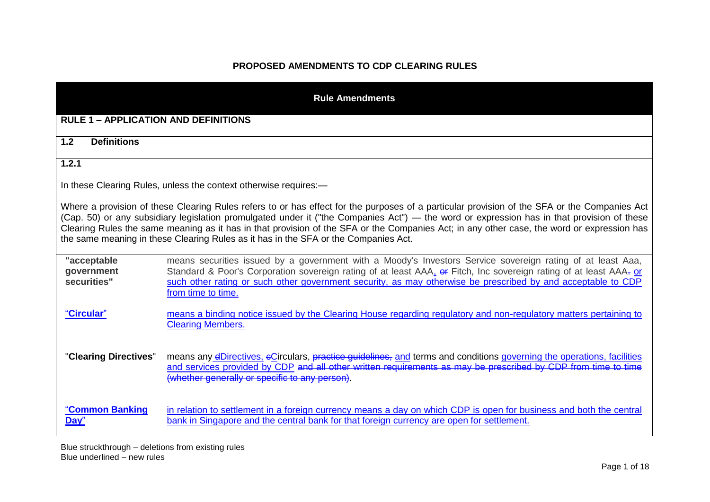## **PROPOSED AMENDMENTS TO CDP CLEARING RULES**

| <b>Rule Amendments</b>                                                                                                                                                                                                                                                                                                                                                                                                                                                                                                          |                                                                                                                                                                                                                                                                                                                                                                        |  |  |  |
|---------------------------------------------------------------------------------------------------------------------------------------------------------------------------------------------------------------------------------------------------------------------------------------------------------------------------------------------------------------------------------------------------------------------------------------------------------------------------------------------------------------------------------|------------------------------------------------------------------------------------------------------------------------------------------------------------------------------------------------------------------------------------------------------------------------------------------------------------------------------------------------------------------------|--|--|--|
| <b>RULE 1 - APPLICATION AND DEFINITIONS</b>                                                                                                                                                                                                                                                                                                                                                                                                                                                                                     |                                                                                                                                                                                                                                                                                                                                                                        |  |  |  |
| 1.2<br><b>Definitions</b>                                                                                                                                                                                                                                                                                                                                                                                                                                                                                                       |                                                                                                                                                                                                                                                                                                                                                                        |  |  |  |
| 1.2.1                                                                                                                                                                                                                                                                                                                                                                                                                                                                                                                           |                                                                                                                                                                                                                                                                                                                                                                        |  |  |  |
|                                                                                                                                                                                                                                                                                                                                                                                                                                                                                                                                 | In these Clearing Rules, unless the context otherwise requires:-                                                                                                                                                                                                                                                                                                       |  |  |  |
| Where a provision of these Clearing Rules refers to or has effect for the purposes of a particular provision of the SFA or the Companies Act<br>(Cap. 50) or any subsidiary legislation promulgated under it ("the Companies Act") — the word or expression has in that provision of these<br>Clearing Rules the same meaning as it has in that provision of the SFA or the Companies Act; in any other case, the word or expression has<br>the same meaning in these Clearing Rules as it has in the SFA or the Companies Act. |                                                                                                                                                                                                                                                                                                                                                                        |  |  |  |
| "acceptable<br>government<br>securities"                                                                                                                                                                                                                                                                                                                                                                                                                                                                                        | means securities issued by a government with a Moody's Investors Service sovereign rating of at least Aaa,<br>Standard & Poor's Corporation sovereign rating of at least AAA, or Fitch, Inc sovereign rating of at least AAA- or<br>such other rating or such other government security, as may otherwise be prescribed by and acceptable to CDP<br>from time to time. |  |  |  |
| "Circular"                                                                                                                                                                                                                                                                                                                                                                                                                                                                                                                      | means a binding notice issued by the Clearing House regarding regulatory and non-regulatory matters pertaining to<br><b>Clearing Members.</b>                                                                                                                                                                                                                          |  |  |  |
| "Clearing Directives"                                                                                                                                                                                                                                                                                                                                                                                                                                                                                                           | means any dDirectives, eCirculars, practice guidelines, and terms and conditions governing the operations, facilities<br>and services provided by CDP and all other written requirements as may be prescribed by CDP from time to time<br>(whether generally or specific to any person).                                                                               |  |  |  |
| "Common Banking<br>Day"                                                                                                                                                                                                                                                                                                                                                                                                                                                                                                         | in relation to settlement in a foreign currency means a day on which CDP is open for business and both the central<br>bank in Singapore and the central bank for that foreign currency are open for settlement.                                                                                                                                                        |  |  |  |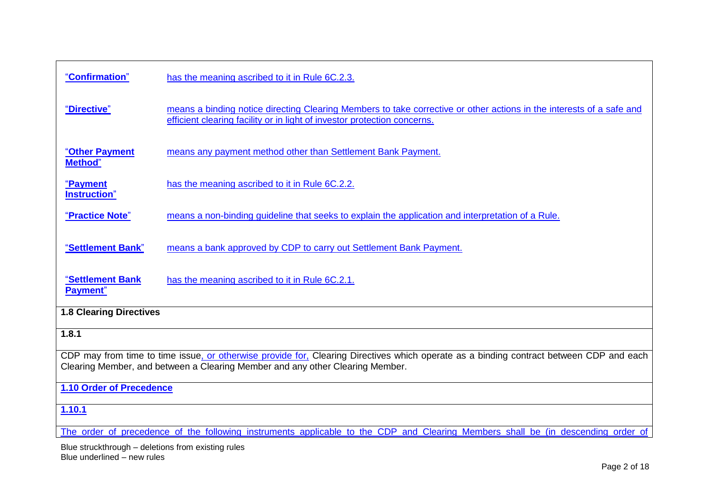| "Confirmation"                                                                                                                                                                                                           | has the meaning ascribed to it in Rule 6C.2.3.                                                                                                                                                   |  |  |  |
|--------------------------------------------------------------------------------------------------------------------------------------------------------------------------------------------------------------------------|--------------------------------------------------------------------------------------------------------------------------------------------------------------------------------------------------|--|--|--|
| "Directive"                                                                                                                                                                                                              | means a binding notice directing Clearing Members to take corrective or other actions in the interests of a safe and<br>efficient clearing facility or in light of investor protection concerns. |  |  |  |
| "Other Payment<br><b>Method</b> "                                                                                                                                                                                        | means any payment method other than Settlement Bank Payment.                                                                                                                                     |  |  |  |
| <u>"Payment</u><br>Instruction"                                                                                                                                                                                          | has the meaning ascribed to it in Rule 6C.2.2.                                                                                                                                                   |  |  |  |
| "Practice Note"                                                                                                                                                                                                          | means a non-binding guideline that seeks to explain the application and interpretation of a Rule.                                                                                                |  |  |  |
| "Settlement Bank"                                                                                                                                                                                                        | means a bank approved by CDP to carry out Settlement Bank Payment.                                                                                                                               |  |  |  |
| "Settlement Bank<br>Payment"                                                                                                                                                                                             | has the meaning ascribed to it in Rule 6C.2.1.                                                                                                                                                   |  |  |  |
| <b>1.8 Clearing Directives</b>                                                                                                                                                                                           |                                                                                                                                                                                                  |  |  |  |
| 1.8.1                                                                                                                                                                                                                    |                                                                                                                                                                                                  |  |  |  |
| CDP may from time to time issue, or otherwise provide for, Clearing Directives which operate as a binding contract between CDP and each<br>Clearing Member, and between a Clearing Member and any other Clearing Member. |                                                                                                                                                                                                  |  |  |  |
| 1.10 Order of Precedence                                                                                                                                                                                                 |                                                                                                                                                                                                  |  |  |  |
| 1.10.1                                                                                                                                                                                                                   |                                                                                                                                                                                                  |  |  |  |
| The order of precedence of the following instruments applicable to the CDP and Clearing Members shall be (in descending order of                                                                                         |                                                                                                                                                                                                  |  |  |  |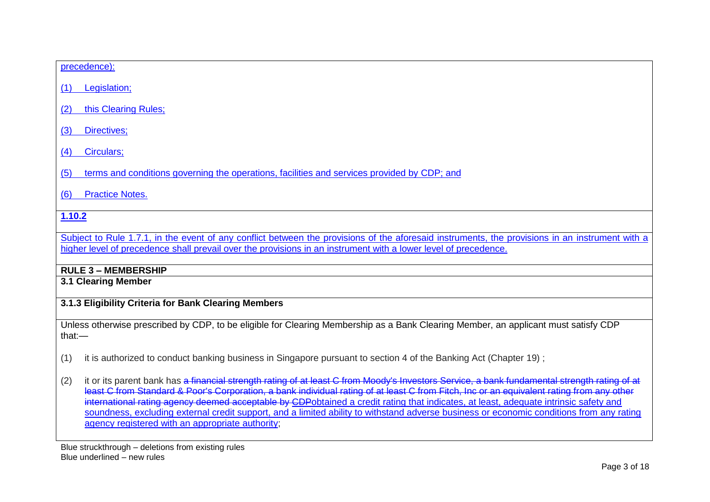# precedence): (1) Legislation; (2) this Clearing Rules; (3) Directives; (4) Circulars;

(5) terms and conditions governing the operations, facilities and services provided by CDP; and

(6) Practice Notes.

## **1.10.2**

Subject to Rule 1.7.1, in the event of any conflict between the provisions of the aforesaid instruments, the provisions in an instrument with a higher level of precedence shall prevail over the provisions in an instrument with a lower level of precedence.

## **RULE 3 – MEMBERSHIP**

**3.1 Clearing Member**

## **3.1.3 Eligibility Criteria for Bank Clearing Members**

Unless otherwise prescribed by CDP, to be eligible for Clearing Membership as a Bank Clearing Member, an applicant must satisfy CDP that:—

(1) it is authorized to conduct banking business in Singapore pursuant to section 4 of the Banking Act (Chapter 19) ;

(2) it or its parent bank has a financial strength rating of at least C from Moody's Investors Service, a bank fundamental strength rating of at least C from Standard & Poor's Corporation, a bank individual rating of at least C from Fitch, Inc or an equivalent rating from any other international rating agency deemed acceptable by CDPobtained a credit rating that indicates, at least, adequate intrinsic safety and soundness, excluding external credit support, and a limited ability to withstand adverse business or economic conditions from any rating agency registered with an appropriate authority;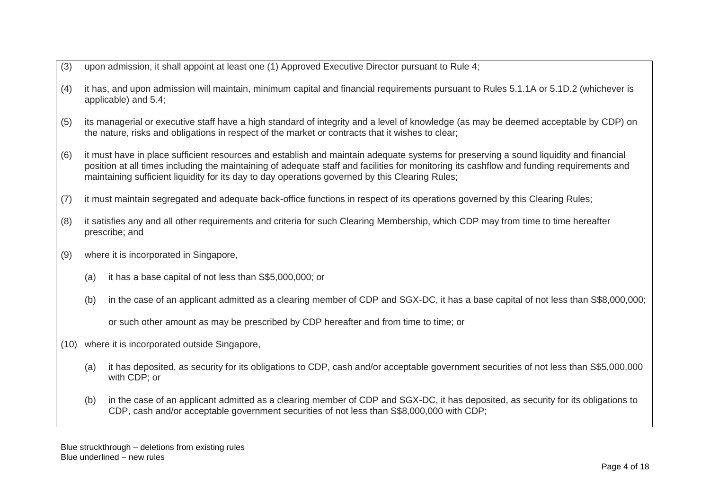- (3) upon admission, it shall appoint at least one (1) Approved Executive Director pursuant to Rule 4;
- (4) it has, and upon admission will maintain, minimum capital and financial requirements pursuant to Rules [5.1.1A](http://rulebook.sgx.com/en/display/display.html?rbid=3271&element_id=445) or [5.1D.2](http://rulebook.sgx.com/en/display/display.html?rbid=3271&element_id=462) (whichever is applicable) and 5.4;
- (5) its managerial or executive staff have a high standard of integrity and a level of knowledge (as may be deemed acceptable by CDP) on the nature, risks and obligations in respect of the market or contracts that it wishes to clear;
- (6) it must have in place sufficient resources and establish and maintain adequate systems for preserving a sound liquidity and financial position at all times including the maintaining of adequate staff and facilities for monitoring its cashflow and funding requirements and maintaining sufficient liquidity for its day to day operations governed by this Clearing Rules;
- (7) it must maintain segregated and adequate back-office functions in respect of its operations governed by this Clearing Rules;
- (8) it satisfies any and all other requirements and criteria for such Clearing Membership, which CDP may from time to time hereafter prescribe; and
- (9) where it is incorporated in Singapore,
	- (a) it has a base capital of not less than S\$5,000,000; or
	- (b) in the case of an applicant admitted as a clearing member of CDP and SGX-DC, it has a base capital of not less than S\$8,000,000;

or such other amount as may be prescribed by CDP hereafter and from time to time; or

- (10) where it is incorporated outside Singapore,
	- (a) it has deposited, as security for its obligations to CDP, cash and/or acceptable government securities of not less than S\$5,000,000 with CDP; or
	- (b) in the case of an applicant admitted as a clearing member of CDP and SGX-DC, it has deposited, as security for its obligations to CDP, cash and/or acceptable government securities of not less than S\$8,000,000 with CDP;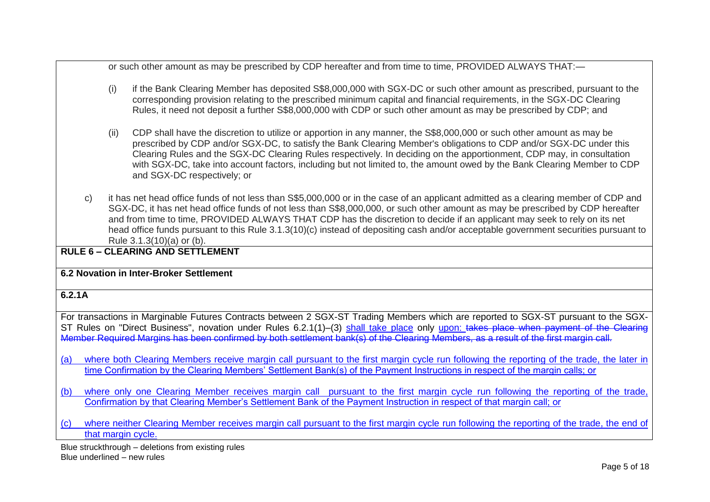or such other amount as may be prescribed by CDP hereafter and from time to time, PROVIDED ALWAYS THAT:—

- (i) if the Bank Clearing Member has deposited S\$8,000,000 with SGX-DC or such other amount as prescribed, pursuant to the corresponding provision relating to the prescribed minimum capital and financial requirements, in the SGX-DC Clearing Rules, it need not deposit a further S\$8,000,000 with CDP or such other amount as may be prescribed by CDP; and
- (ii) CDP shall have the discretion to utilize or apportion in any manner, the S\$8,000,000 or such other amount as may be prescribed by CDP and/or SGX-DC, to satisfy the Bank Clearing Member's obligations to CDP and/or SGX-DC under this Clearing Rules and the SGX-DC Clearing Rules respectively. In deciding on the apportionment, CDP may, in consultation with SGX-DC, take into account factors, including but not limited to, the amount owed by the Bank Clearing Member to CDP and SGX-DC respectively; or
- c) it has net head office funds of not less than S\$5,000,000 or in the case of an applicant admitted as a clearing member of CDP and SGX-DC, it has net head office funds of not less than S\$8,000,000, or such other amount as may be prescribed by CDP hereafter and from time to time, PROVIDED ALWAYS THAT CDP has the discretion to decide if an applicant may seek to rely on its net head office funds pursuant to this Rule 3.1.3(10)(c) instead of depositing cash and/or acceptable government securities pursuant to Rule 3.1.3(10)(a) or (b).

## **RULE 6 – CLEARING AND SETTLEMENT**

#### **6.2 Novation in Inter-Broker Settlement**

#### **6.2.1A**

For transactions in Marginable Futures Contracts between 2 SGX-ST Trading Members which are reported to SGX-ST pursuant to the SGX-ST Rules on "Direct Business", novation under [Rules 6.2.1\(](http://rulebook.sgx.com/en/display/display.html?rbid=3271&element_id=537)1)–(3) shall take place only upon: takes place when payment of the Clearing Member Required Margins has been confirmed by both settlement bank(s) of the Clearing Members, as a result of the first margin call.

- (a) where both Clearing Members receive margin call pursuant to the first margin cycle run following the reporting of the trade, the later in time Confirmation by the Clearing Members' Settlement Bank(s) of the Payment Instructions in respect of the margin calls; or
- (b) where only one Clearing Member receives margin call pursuant to the first margin cycle run following the reporting of the trade, Confirmation by that Clearing Member's Settlement Bank of the Payment Instruction in respect of that margin call; or
- (c) where neither Clearing Member receives margin call pursuant to the first margin cycle run following the reporting of the trade, the end of that margin cycle.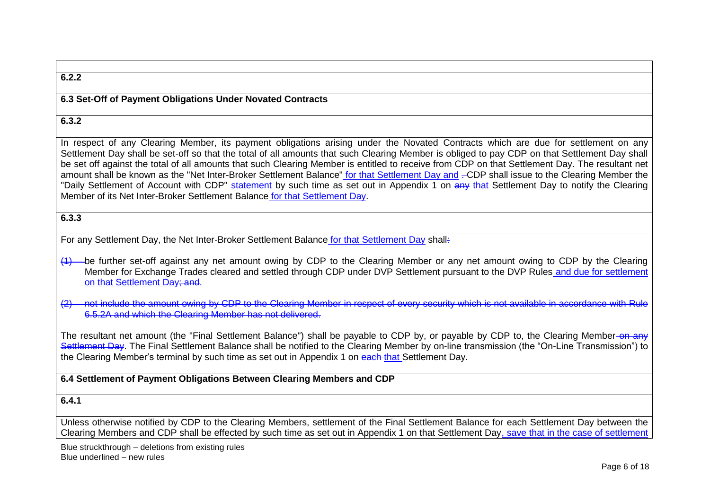## **6.2.2 6.3 Set-Off of Payment Obligations Under Novated Contracts 6.3.2** In respect of any Clearing Member, its payment obligations arising under the Novated Contracts which are due for settlement on any Settlement Day shall be set-off so that the total of all amounts that such Clearing Member is obliged to pay CDP on that Settlement Day shall be set off against the total of all amounts that such Clearing Member is entitled to receive from CDP on that Settlement Day. The resultant net amount shall be known as the "Net Inter-Broker Settlement Balance" for that Settlement Day and .-CDP shall issue to the Clearing Member the "Daily Settlement of Account with CDP" statement by such time as set out in [Appendix 1](http://rulebook.sgx.com/en/display/display.html?rbid=3271&element_id=5735) on any that Settlement Day to notify the Clearing Member of its Net Inter-Broker Settlement Balance for that Settlement Day. **6.3.3**  For any Settlement Day, the Net Inter-Broker Settlement Balance for that Settlement Day shall: (1) be further set-off against any net amount owing by CDP to the Clearing Member or any net amount owing to CDP by the Clearing Member for Exchange Trades cleared and settled through CDP under DVP Settlement pursuant to the DVP Rules and due for settlement on that Settlement Day; and. not include the amount owing by CDP to the Clearing Member in respect of every security which is not available in accordance with Rule [6.5.2A](http://rulebook.sgx.com/en/display/display.html?rbid=3271&element_id=555) and which the Clearing Member has not delivered. The resultant net amount (the "Final Settlement Balance") shall be payable to CDP by, or payable by CDP to, the Clearing Member-on any Settlement Day. The Final Settlement Balance shall be notified to the Clearing Member by on-line transmission (the "On-Line Transmission") to the Clearing Member's terminal by such time as set out in Appendix 1 on each that Settlement Day. **6.4 Settlement of Payment Obligations Between Clearing Members and CDP**

#### **6.4.1**

Unless otherwise notified by CDP to the Clearing Members, settlement of the Final Settlement Balance for each Settlement Day between the Clearing Members and CDP shall be effected by such time as set out in Appendix 1 on that Settlement Day, save that in the case of settlement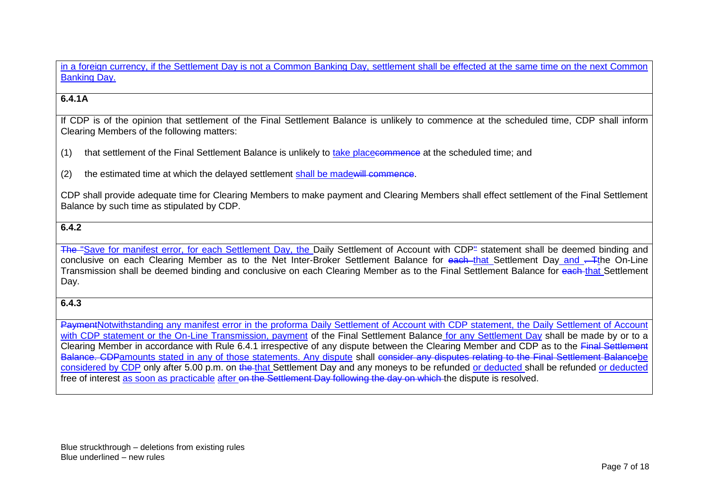in a foreign currency, if the Settlement Day is not a Common Banking Day, settlement shall be effected at the same time on the next Common Banking Day.

## **6.4.1A**

If CDP is of the opinion that settlement of the Final Settlement Balance is unlikely to commence at the scheduled time, CDP shall inform Clearing Members of the following matters:

- (1) that settlement of the Final Settlement Balance is unlikely to take placecommence at the scheduled time; and
- (2) the estimated time at which the delayed settlement shall be madewill commence.

CDP shall provide adequate time for Clearing Members to make payment and Clearing Members shall effect settlement of the Final Settlement Balance by such time as stipulated by CDP.

#### **6.4.2**

The "Save for manifest error, for each Settlement Day, the Daily Settlement of Account with CDP" statement shall be deemed binding and conclusive on each Clearing Member as to the Net Inter-Broker Settlement Balance for each that Settlement Day and . The On-Line Transmission shall be deemed binding and conclusive on each Clearing Member as to the Final Settlement Balance for each that Settlement Day.

#### **6.4.3**

PaymentNotwithstanding any manifest error in the proforma Daily Settlement of Account with CDP statement, the Daily Settlement of Account with CDP statement or the On-Line Transmission, payment of the Final Settlement Balance for any Settlement Day shall be made by or to a Clearing Member in accordance with Rule 6.4.1 irrespective of any dispute between the Clearing Member and CDP as to the Final Settlement Balance. CDPamounts stated in any of those statements. Any dispute shall consider any disputes relating to the Final Settlement Balancebe considered by CDP only after 5.00 p.m. on the that Settlement Day and any moneys to be refunded or deducted shall be refunded or deducted free of interest as soon as practicable after on the Settlement Day following the day on which the dispute is resolved.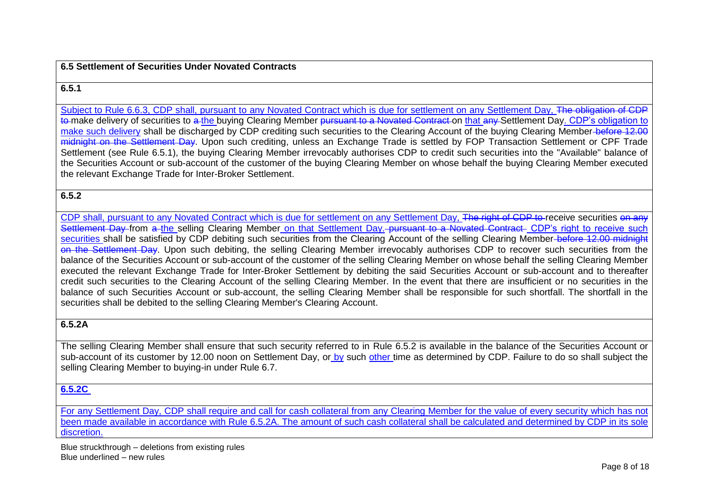#### **6.5 Settlement of Securities Under Novated Contracts**

#### **6.5.1**

Subject to Rule 6.6.3, CDP shall, pursuant to any Novated Contract which is due for settlement on any Settlement Day. The obligation of CDP to make delivery of securities to a the buying Clearing Member pursuant to a Novated Contract on that any Settlement Day. CDP's obligation to make such delivery shall be discharged by CDP crediting such securities to the Clearing Account of the buying Clearing Member before 12.00 midnight on the Settlement Day. Upon such crediting, unless an Exchange Trade is settled by FOP Transaction Settlement or CPF Trade Settlement (see [Rule 6.5.1\)](http://rulebook.sgx.com/en/display/display.html?rbid=3271&element_id=120), the buying Clearing Member irrevocably authorises CDP to credit such securities into the "Available" balance of the Securities Account or sub-account of the customer of the buying Clearing Member on whose behalf the buying Clearing Member executed the relevant Exchange Trade for Inter-Broker Settlement.

#### **6.5.2**

CDP shall, pursuant to any Novated Contract which is due for settlement on any Settlement Day. The right of CDP to receive securities on any Settlement Day from a the selling Clearing Member on that Settlement Day. pursuant to a Novated Contract. CDP's right to receive such securities shall be satisfied by CDP debiting such securities from the Clearing Account of the selling Clearing Member-before 12.00 midnight on the Settlement Day. Upon such debiting, the selling Clearing Member irrevocably authorises CDP to recover such securities from the balance of the Securities Account or sub-account of the customer of the selling Clearing Member on whose behalf the selling Clearing Member executed the relevant Exchange Trade for Inter-Broker Settlement by debiting the said Securities Account or sub-account and to thereafter credit such securities to the Clearing Account of the selling Clearing Member. In the event that there are insufficient or no securities in the balance of such Securities Account or sub-account, the selling Clearing Member shall be responsible for such shortfall. The shortfall in the securities shall be debited to the selling Clearing Member's Clearing Account.

#### **6.5.2A**

The selling Clearing Member shall ensure that such security referred to in [Rule 6.5.2](http://rulebook.sgx.com/en/display/display.html?rbid=3271&element_id=554) is available in the balance of the Securities Account or sub-account of its customer by 12.00 noon on Settlement Day, or by such other time as determined by CDP. Failure to do so shall subject the selling Clearing Member to buying-in under [Rule 6.7.](http://rulebook.sgx.com/en/display/display.html?rbid=3271&element_id=561)

## **6.5.2C**

For any Settlement Day, CDP shall require and call for cash collateral from any Clearing Member for the value of every security which has not been made available in accordance with Rule 6.5.2A. The amount of such cash collateral shall be calculated and determined by CDP in its sole discretion.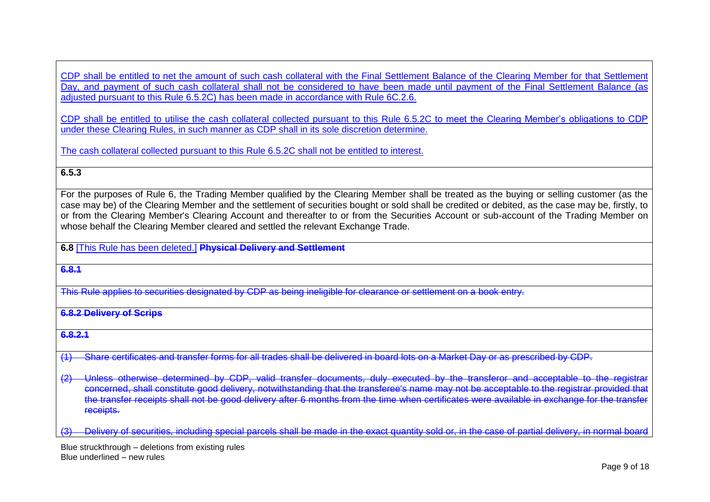CDP shall be entitled to net the amount of such cash collateral with the Final Settlement Balance of the Clearing Member for that Settlement Day, and payment of such cash collateral shall not be considered to have been made until payment of the Final Settlement Balance (as adjusted pursuant to this Rule 6.5.2C) has been made in accordance with Rule 6C.2.6.

CDP shall be entitled to utilise the cash collateral collected pursuant to this Rule 6.5.2C to meet the Clearing Member's obligations to CDP under these Clearing Rules, in such manner as CDP shall in its sole discretion determine.

The cash collateral collected pursuant to this Rule 6.5.2C shall not be entitled to interest.

## **6.5.3**

For the purposes of [Rule 6,](http://rulebook.sgx.com/en/display/display.html?rbid=3271&element_id=530) the Trading Member qualified by the Clearing Member shall be treated as the buying or selling customer (as the case may be) of the Clearing Member and the settlement of securities bought or sold shall be credited or debited, as the case may be, firstly, to or from the Clearing Member's Clearing Account and thereafter to or from the Securities Account or sub-account of the Trading Member on whose behalf the Clearing Member cleared and settled the relevant Exchange Trade.

**6.8** [This Rule has been deleted.] **Physical Delivery and Settlement**

**6.8.1** 

This Rule applies to securities designated by CDP as being ineligible for clearance or settlement on a book entry.

**6.8.2 Delivery of Scrips**

**6.8.2.1**

(1) Share certificates and transfer forms for all trades shall be delivered in board lots on a Market Day or as prescribed by CDP.

(2) Unless otherwise determined by CDP, valid transfer documents, duly executed by the transferor and acceptable to the registrar concerned, shall constitute good delivery, notwithstanding that the transferee's name may not be acceptable to the registrar provided that the transfer receipts shall not be good delivery after 6 months from the time when certificates were available in exchange for the transfer receipts.

Delivery of securities, including special parcels shall be made in the exact quantity sold or, in the case of partial delivery, in normal board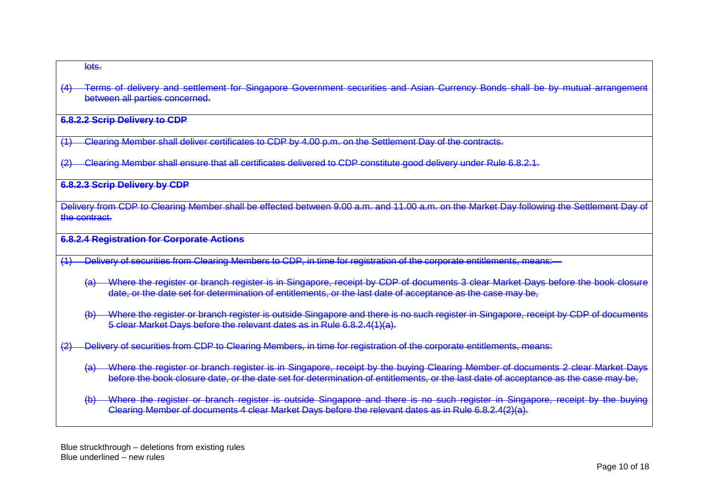#### lots.

(4) Terms of delivery and settlement for Singapore Government securities and Asian Currency Bonds shall be by mutual arrangement between all parties concerned.

#### **6.8.2.2 Scrip Delivery to CDP**

- (1) Clearing Member shall deliver certificates to CDP by 4.00 p.m. on the Settlement Day of the contracts.
- Clearing Member shall ensure that all certificates delivered to CDP constitute good delivery under Rule 6.8.2.1.

#### **6.8.2.3 Scrip Delivery by CDP**

Delivery from CDP to Clearing Member shall be effected between 9.00 a.m. and 11.00 a.m. on the Market Day following the Settlement Day of the contract.

#### **6.8.2.4 Registration for Corporate Actions**

- (1) Delivery of securities from Clearing Members to CDP, in time for registration of the corporate entitlements, means:—
	- (a) Where the register or branch register is in Singapore, receipt by CDP of documents 3 clear Market Days before the book closure date, or the date set for determination of entitlements, or the last date of acceptance as the case may be,
	- (b) Where the register or branch register is outside Singapore and there is no such register in Singapore, receipt by CDP of documents 5 clear Market Days before the relevant dates as in Rule 6.8.2.4(1)(a).
- (2) Delivery of securities from CDP to Clearing Members, in time for registration of the corporate entitlements, means:
	- (a) Where the register or branch register is in Singapore, receipt by the buying Clearing Member of documents 2 clear Market Days before the book closure date, or the date set for determination of entitlements, or the last date of acceptance as the case may be,
	- (b) Where the register or branch register is outside Singapore and there is no such register in Singapore, receipt by the buying Clearing Member of documents 4 clear Market Days before the relevant dates as in Rule 6.8.2.4(2)(a).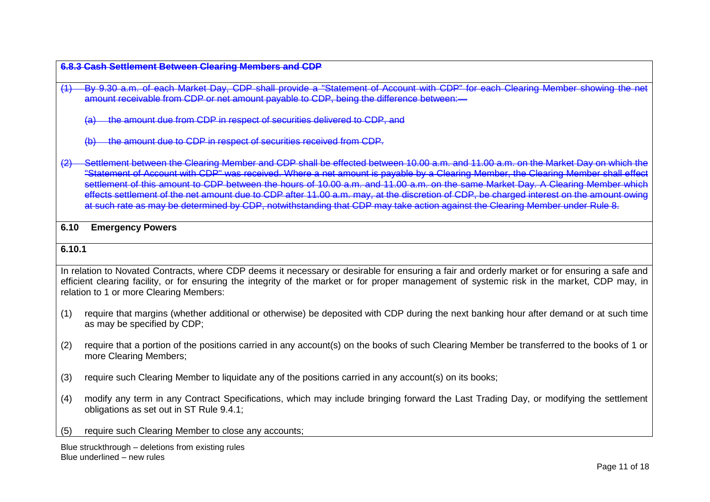#### **6.8.3 Cash Settlement Between Clearing Members and CDP**

- (1) By 9.30 a.m. of each Market Day, CDP shall provide a "Statement of Account with CDP" for each Clearing Member showing the net amount receivable from CDP or net amount payable to CDP, being the difference between:
	- the amount due from CDP in respect of securities delivered to CDP, and
	- (b) the amount due to CDP in respect of securities received from CDP.

Settlement between the Clearing Member and CDP shall be effected between 10.00 a.m. and 11.00 a.m. on the Market Day on which "Statement of Account with CDP" was received. Where a net amount is payable by a Clearing Member, the Clearing Member shall e settlement of this amount to CDP between the hours of 10.00 a.m. and 11.00 a.m. on the same Market Day. A Clearing Member which effects settlement of the net amount due to CDP after 11.00 a.m. may, at the discretion of CDP, be charged interest on the amount owing at such rate as may be determined by CDP, notwithstanding that CDP may take action against the Clearing Member under Rule 8.

#### **6.10 Emergency Powers**

#### **6.10.1**

In relation to Novated Contracts, where CDP deems it necessary or desirable for ensuring a fair and orderly market or for ensuring a safe and efficient clearing facility, or for ensuring the integrity of the market or for proper management of systemic risk in the market, CDP may, in relation to 1 or more Clearing Members:

- (1) require that margins (whether additional or otherwise) be deposited with CDP during the next banking hour after demand or at such time as may be specified by CDP;
- (2) require that a portion of the positions carried in any account(s) on the books of such Clearing Member be transferred to the books of 1 or more Clearing Members;
- (3) require such Clearing Member to liquidate any of the positions carried in any account(s) on its books;
- (4) modify any term in any Contract Specifications, which may include bringing forward the Last Trading Day, or modifying the settlement obligations as set out in ST Rule 9.4.1;
- (5) require such Clearing Member to close any accounts;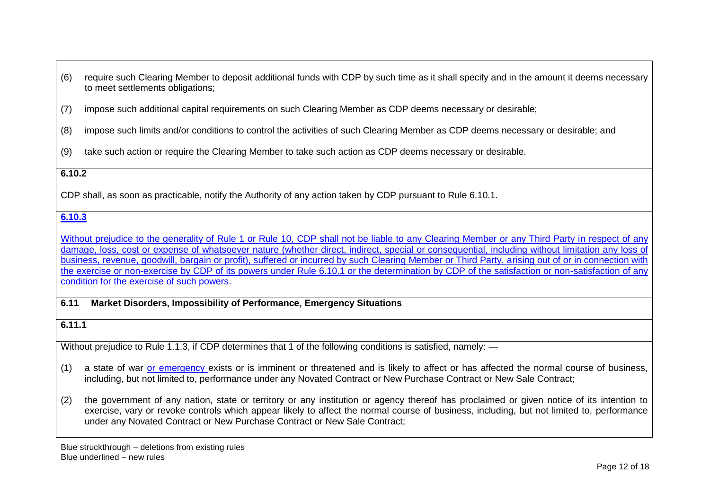- (6) require such Clearing Member to deposit additional funds with CDP by such time as it shall specify and in the amount it deems necessary to meet settlements obligations;
- (7) impose such additional capital requirements on such Clearing Member as CDP deems necessary or desirable;
- (8) impose such limits and/or conditions to control the activities of such Clearing Member as CDP deems necessary or desirable; and
- (9) take such action or require the Clearing Member to take such action as CDP deems necessary or desirable.

## **6.10.2**

CDP shall, as soon as practicable, notify the Authority of any action taken by CDP pursuant to Rule 6.10.1.

## **6.10.3**

Without prejudice to the generality of Rule 1 or Rule 10, CDP shall not be liable to any Clearing Member or any Third Party in respect of any damage, loss, cost or expense of whatsoever nature (whether direct, indirect, special or consequential, including without limitation any loss of business, revenue, goodwill, bargain or profit), suffered or incurred by such Clearing Member or Third Party, arising out of or in connection with the exercise or non-exercise by CDP of its powers under Rule 6.10.1 or the determination by CDP of the satisfaction or non-satisfaction of any condition for the exercise of such powers.

#### **6.11 Market Disorders, Impossibility of Performance, Emergency Situations**

## **6.11.1**

Without prejudice to Rule 1.1.3, if CDP determines that 1 of the following conditions is satisfied, namely: —

- (1) a state of war or emergency exists or is imminent or threatened and is likely to affect or has affected the normal course of business, including, but not limited to, performance under any Novated Contract or New Purchase Contract or New Sale Contract;
- (2) the government of any nation, state or territory or any institution or agency thereof has proclaimed or given notice of its intention to exercise, vary or revoke controls which appear likely to affect the normal course of business, including, but not limited to, performance under any Novated Contract or New Purchase Contract or New Sale Contract;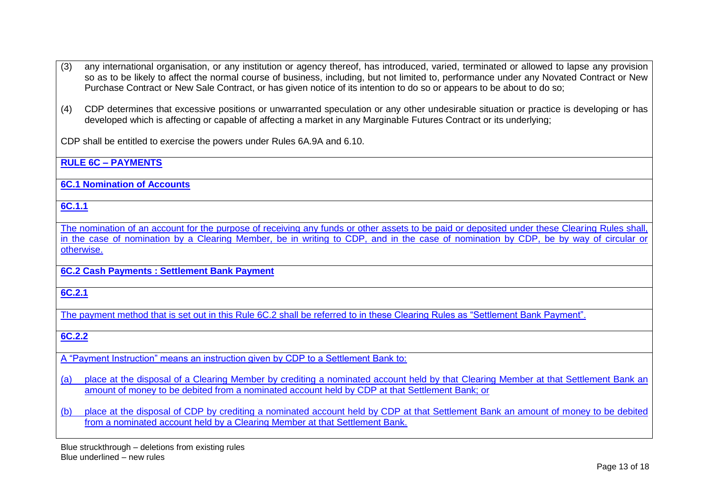- (3) any international organisation, or any institution or agency thereof, has introduced, varied, terminated or allowed to lapse any provision so as to be likely to affect the normal course of business, including, but not limited to, performance under any Novated Contract or New Purchase Contract or New Sale Contract, or has given notice of its intention to do so or appears to be about to do so;
- (4) CDP determines that excessive positions or unwarranted speculation or any other undesirable situation or practice is developing or has developed which is affecting or capable of affecting a market in any Marginable Futures Contract or its underlying;

CDP shall be entitled to exercise the powers under Rules 6A.9A and 6.10.

**RULE 6C – PAYMENTS** 

**6C.1 Nomination of Accounts**

**6C.1.1**

The nomination of an account for the purpose of receiving any funds or other assets to be paid or deposited under these Clearing Rules shall, in the case of nomination by a Clearing Member, be in writing to CDP, and in the case of nomination by CDP, be by way of circular or otherwise.

**6C.2 Cash Payments : Settlement Bank Payment**

**6C.2.1**

The payment method that is set out in this Rule 6C.2 shall be referred to in these Clearing Rules as "Settlement Bank Payment".

**6C.2.2**

A "Payment Instruction" means an instruction given by CDP to a Settlement Bank to:

(a) place at the disposal of a Clearing Member by crediting a nominated account held by that Clearing Member at that Settlement Bank an amount of money to be debited from a nominated account held by CDP at that Settlement Bank; or

(b) place at the disposal of CDP by crediting a nominated account held by CDP at that Settlement Bank an amount of money to be debited from a nominated account held by a Clearing Member at that Settlement Bank.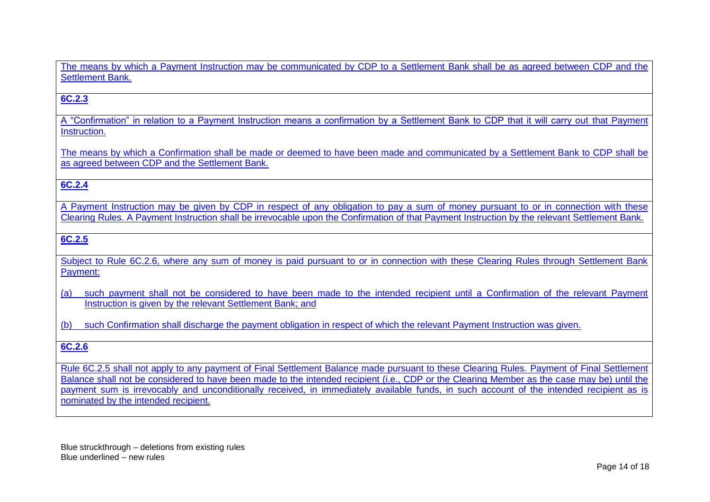The means by which a Payment Instruction may be communicated by CDP to a Settlement Bank shall be as agreed between CDP and the Settlement Bank.

## **6C.2.3**

A "Confirmation" in relation to a Payment Instruction means a confirmation by a Settlement Bank to CDP that it will carry out that Payment Instruction.

The means by which a Confirmation shall be made or deemed to have been made and communicated by a Settlement Bank to CDP shall be as agreed between CDP and the Settlement Bank.

## **6C.2.4**

A Payment Instruction may be given by CDP in respect of any obligation to pay a sum of money pursuant to or in connection with these Clearing Rules. A Payment Instruction shall be irrevocable upon the Confirmation of that Payment Instruction by the relevant Settlement Bank.

## **6C.2.5**

Subject to Rule 6C.2.6, where any sum of money is paid pursuant to or in connection with these Clearing Rules through Settlement Bank Payment:

(a) such payment shall not be considered to have been made to the intended recipient until a Confirmation of the relevant Payment Instruction is given by the relevant Settlement Bank; and

(b) such Confirmation shall discharge the payment obligation in respect of which the relevant Payment Instruction was given.

## **6C.2.6**

Rule 6C.2.5 shall not apply to any payment of Final Settlement Balance made pursuant to these Clearing Rules. Payment of Final Settlement Balance shall not be considered to have been made to the intended recipient (i.e., CDP or the Clearing Member as the case may be) until the payment sum is irrevocably and unconditionally received, in immediately available funds, in such account of the intended recipient as is nominated by the intended recipient.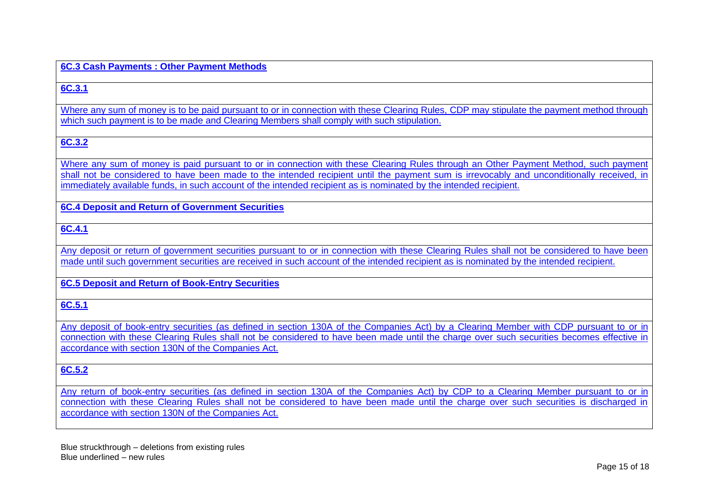#### **6C.3 Cash Payments : Other Payment Methods**

#### **6C.3.1**

Where any sum of money is to be paid pursuant to or in connection with these Clearing Rules, CDP may stipulate the payment method through which such payment is to be made and Clearing Members shall comply with such stipulation.

## **6C.3.2**

Where any sum of money is paid pursuant to or in connection with these Clearing Rules through an Other Payment Method, such payment shall not be considered to have been made to the intended recipient until the payment sum is irrevocably and unconditionally received, in immediately available funds, in such account of the intended recipient as is nominated by the intended recipient.

#### **6C.4 Deposit and Return of Government Securities**

## **6C.4.1**

Any deposit or return of government securities pursuant to or in connection with these Clearing Rules shall not be considered to have been made until such government securities are received in such account of the intended recipient as is nominated by the intended recipient.

#### **6C.5 Deposit and Return of Book-Entry Securities**

## **6C.5.1**

Any deposit of book-entry securities (as defined in section 130A of the Companies Act) by a Clearing Member with CDP pursuant to or in connection with these Clearing Rules shall not be considered to have been made until the charge over such securities becomes effective in accordance with section 130N of the Companies Act.

## **6C.5.2**

Any return of book-entry securities (as defined in section 130A of the Companies Act) by CDP to a Clearing Member pursuant to or in connection with these Clearing Rules shall not be considered to have been made until the charge over such securities is discharged in accordance with section 130N of the Companies Act.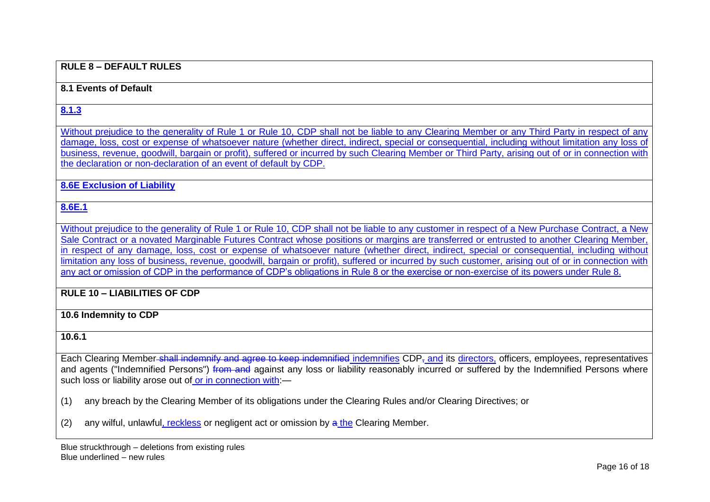#### **RULE 8 – DEFAULT RULES**

#### **8.1 Events of Default**

#### **8.1.3**

Without prejudice to the generality of Rule 1 or Rule 10, CDP shall not be liable to any Clearing Member or any Third Party in respect of any damage, loss, cost or expense of whatsoever nature (whether direct, indirect, special or consequential, including without limitation any loss of business, revenue, goodwill, bargain or profit), suffered or incurred by such Clearing Member or Third Party, arising out of or in connection with the declaration or non-declaration of an event of default by CDP.

#### **8.6E Exclusion of Liability**

## **8.6E.1**

Without prejudice to the generality of Rule 1 or Rule 10, CDP shall not be liable to any customer in respect of a New Purchase Contract, a New Sale Contract or a novated Marginable Futures Contract whose positions or margins are transferred or entrusted to another Clearing Member, in respect of any damage, loss, cost or expense of whatsoever nature (whether direct, indirect, special or consequential, including without limitation any loss of business, revenue, goodwill, bargain or profit), suffered or incurred by such customer, arising out of or in connection with any act or omission of CDP in the performance of CDP's obligations in Rule 8 or the exercise or non-exercise of its powers under Rule 8.

## **RULE 10 – LIABILITIES OF CDP**

#### **10.6 Indemnity to CDP**

#### **10.6.1**

Each Clearing Member-shall indemnify and agree to keep indemnified indemnifies CDP<sub>7</sub> and its directors, officers, employees, representatives and agents ("Indemnified Persons") from and against any loss or liability reasonably incurred or suffered by the Indemnified Persons where such loss or liability arose out of or in connection with:—

(1) any breach by the Clearing Member of its obligations under the Clearing Rules and/or Clearing Directives; or

(2) any wilful, unlawful, reckless or negligent act or omission by  $\frac{a}{b}$  the Clearing Member.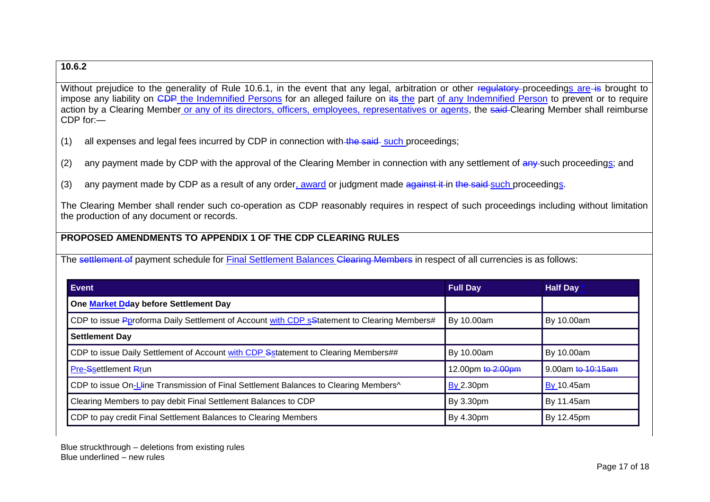## **10.6.2**

Without prejudice to the generality of Rule 10.6.1, in the event that any legal, arbitration or other regulatory proceedings are is brought to impose any liability on CDP the Indemnified Persons for an alleged failure on its the part of any Indemnified Person to prevent or to require action by a Clearing Member or any of its directors, officers, employees, representatives or agents, the said Clearing Member shall reimburse CDP for:—

(1) all expenses and legal fees incurred by CDP in connection with the said such proceedings;

- (2) any payment made by CDP with the approval of the Clearing Member in connection with any settlement of  $a_{\rm IV}$ -such proceedings; and
- (3) any payment made by CDP as a result of any order, award or judgment made against it in the said-such proceedings.

The Clearing Member shall render such co-operation as CDP reasonably requires in respect of such proceedings including without limitation the production of any document or records.

## **PROPOSED AMENDMENTS TO APPENDIX 1 OF THE CDP CLEARING RULES**

The settlement of payment schedule for Final Settlement Balances Clearing Members in respect of all currencies is as follows:

| Event                                                                                       | <b>Full Day</b>   | <b>Half Day</b>   |
|---------------------------------------------------------------------------------------------|-------------------|-------------------|
| One Market Dday before Settlement Day                                                       |                   |                   |
| CDP to issue Pproforma Daily Settlement of Account with CDP sStatement to Clearing Members# | By 10.00am        | By 10.00am        |
| <b>Settlement Day</b>                                                                       |                   |                   |
| CDP to issue Daily Settlement of Account with CDP Sstatement to Clearing Members##          | By 10.00am        | By 10.00am        |
| <b>Pre-Ssettlement Rrun</b>                                                                 | 12.00pm to 2:00pm | 9.00am to 10:15am |
| CDP to issue On-Lline Transmission of Final Settlement Balances to Clearing Members^        | <b>By 2.30pm</b>  | By 10.45am        |
| Clearing Members to pay debit Final Settlement Balances to CDP                              | By 3.30pm         | By 11.45am        |
| CDP to pay credit Final Settlement Balances to Clearing Members                             | By 4.30pm         | By 12.45pm        |